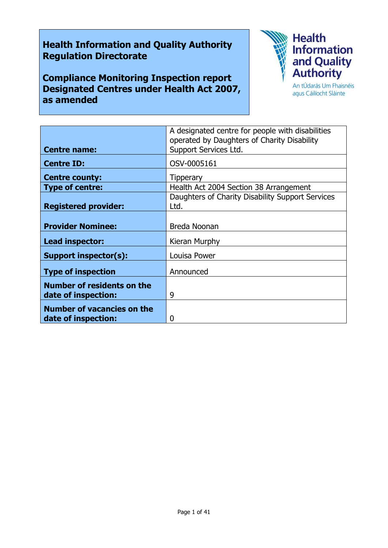# **Health Information and Quality Authority Regulation Directorate**

**Compliance Monitoring Inspection report Designated Centres under Health Act 2007, as amended**



agus Cáilíocht Sláinte

|                                   | A designated centre for people with disabilities |
|-----------------------------------|--------------------------------------------------|
|                                   | operated by Daughters of Charity Disability      |
| <b>Centre name:</b>               | Support Services Ltd.                            |
|                                   |                                                  |
| <b>Centre ID:</b>                 | OSV-0005161                                      |
|                                   |                                                  |
| <b>Centre county:</b>             | <b>Tipperary</b>                                 |
| <b>Type of centre:</b>            | Health Act 2004 Section 38 Arrangement           |
|                                   | Daughters of Charity Disability Support Services |
| <b>Registered provider:</b>       | Ltd.                                             |
|                                   |                                                  |
|                                   |                                                  |
| <b>Provider Nominee:</b>          | Breda Noonan                                     |
|                                   |                                                  |
| Lead inspector:                   | Kieran Murphy                                    |
| Support inspector(s):             | Louisa Power                                     |
|                                   |                                                  |
|                                   | Announced                                        |
| <b>Type of inspection</b>         |                                                  |
| <b>Number of residents on the</b> |                                                  |
|                                   | 9                                                |
| date of inspection:               |                                                  |
| <b>Number of vacancies on the</b> |                                                  |
|                                   |                                                  |
| date of inspection:               | 0                                                |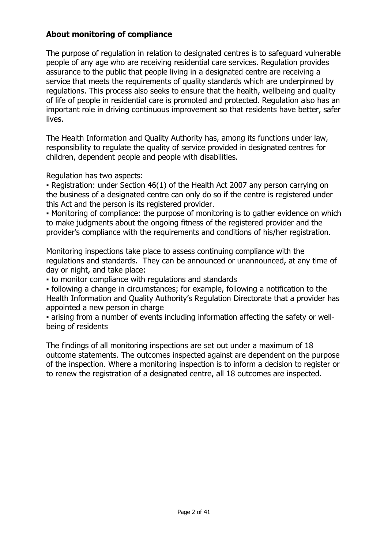### **About monitoring of compliance**

The purpose of regulation in relation to designated centres is to safeguard vulnerable people of any age who are receiving residential care services. Regulation provides assurance to the public that people living in a designated centre are receiving a service that meets the requirements of quality standards which are underpinned by regulations. This process also seeks to ensure that the health, wellbeing and quality of life of people in residential care is promoted and protected. Regulation also has an important role in driving continuous improvement so that residents have better, safer lives.

The Health Information and Quality Authority has, among its functions under law, responsibility to regulate the quality of service provided in designated centres for children, dependent people and people with disabilities.

Regulation has two aspects:

• Registration: under Section 46(1) of the Health Act 2007 any person carrying on the business of a designated centre can only do so if the centre is registered under this Act and the person is its registered provider.

• Monitoring of compliance: the purpose of monitoring is to gather evidence on which to make judgments about the ongoing fitness of the registered provider and the provider's compliance with the requirements and conditions of his/her registration.

Monitoring inspections take place to assess continuing compliance with the regulations and standards. They can be announced or unannounced, at any time of day or night, and take place:

▪ to monitor compliance with regulations and standards

▪ following a change in circumstances; for example, following a notification to the Health Information and Quality Authority's Regulation Directorate that a provider has appointed a new person in charge

▪ arising from a number of events including information affecting the safety or wellbeing of residents

The findings of all monitoring inspections are set out under a maximum of 18 outcome statements. The outcomes inspected against are dependent on the purpose of the inspection. Where a monitoring inspection is to inform a decision to register or to renew the registration of a designated centre, all 18 outcomes are inspected.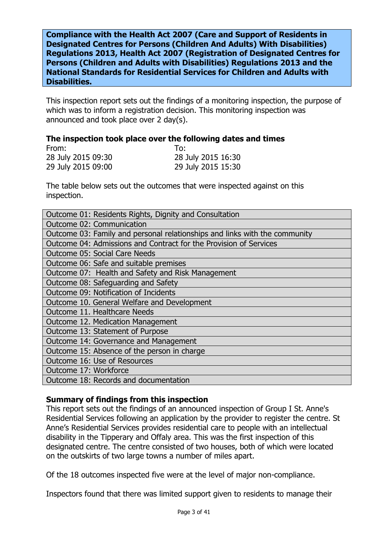**Compliance with the Health Act 2007 (Care and Support of Residents in Designated Centres for Persons (Children And Adults) With Disabilities) Regulations 2013, Health Act 2007 (Registration of Designated Centres for Persons (Children and Adults with Disabilities) Regulations 2013 and the National Standards for Residential Services for Children and Adults with Disabilities.**

This inspection report sets out the findings of a monitoring inspection, the purpose of which was to inform a registration decision. This monitoring inspection was announced and took place over 2 day(s).

#### **The inspection took place over the following dates and times**

| From:              | To:                |
|--------------------|--------------------|
| 28 July 2015 09:30 | 28 July 2015 16:30 |
| 29 July 2015 09:00 | 29 July 2015 15:30 |

The table below sets out the outcomes that were inspected against on this inspection.

| Outcome 01: Residents Rights, Dignity and Consultation                     |
|----------------------------------------------------------------------------|
| Outcome 02: Communication                                                  |
| Outcome 03: Family and personal relationships and links with the community |
| Outcome 04: Admissions and Contract for the Provision of Services          |
| <b>Outcome 05: Social Care Needs</b>                                       |
| Outcome 06: Safe and suitable premises                                     |
| Outcome 07: Health and Safety and Risk Management                          |
| Outcome 08: Safeguarding and Safety                                        |
| Outcome 09: Notification of Incidents                                      |
| Outcome 10. General Welfare and Development                                |
| Outcome 11. Healthcare Needs                                               |
| Outcome 12. Medication Management                                          |
| Outcome 13: Statement of Purpose                                           |
| Outcome 14: Governance and Management                                      |
| Outcome 15: Absence of the person in charge                                |
| Outcome 16: Use of Resources                                               |
| Outcome 17: Workforce                                                      |
| Outcome 18: Records and documentation                                      |

### **Summary of findings from this inspection**

This report sets out the findings of an announced inspection of Group I St. Anne's Residential Services following an application by the provider to register the centre. St Anne's Residential Services provides residential care to people with an intellectual disability in the Tipperary and Offaly area. This was the first inspection of this designated centre. The centre consisted of two houses, both of which were located on the outskirts of two large towns a number of miles apart.

Of the 18 outcomes inspected five were at the level of major non-compliance.

Inspectors found that there was limited support given to residents to manage their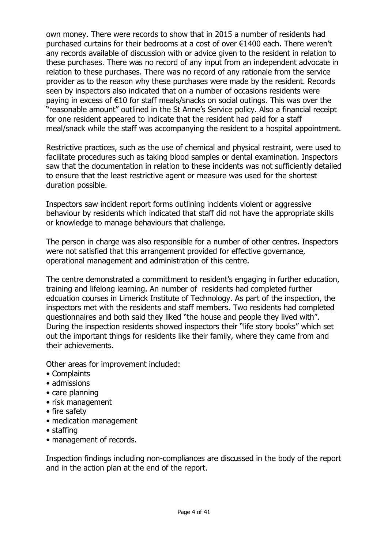own money. There were records to show that in 2015 a number of residents had purchased curtains for their bedrooms at a cost of over €1400 each. There weren't any records available of discussion with or advice given to the resident in relation to these purchases. There was no record of any input from an independent advocate in relation to these purchases. There was no record of any rationale from the service provider as to the reason why these purchases were made by the resident. Records seen by inspectors also indicated that on a number of occasions residents were paying in excess of €10 for staff meals/snacks on social outings. This was over the "reasonable amount" outlined in the St Anne's Service policy. Also a financial receipt for one resident appeared to indicate that the resident had paid for a staff meal/snack while the staff was accompanying the resident to a hospital appointment.

Restrictive practices, such as the use of chemical and physical restraint, were used to facilitate procedures such as taking blood samples or dental examination. Inspectors saw that the documentation in relation to these incidents was not sufficiently detailed to ensure that the least restrictive agent or measure was used for the shortest duration possible.

Inspectors saw incident report forms outlining incidents violent or aggressive behaviour by residents which indicated that staff did not have the appropriate skills or knowledge to manage behaviours that challenge.

The person in charge was also responsible for a number of other centres. Inspectors were not satisfied that this arrangement provided for effective governance, operational management and administration of this centre.

The centre demonstrated a committment to resident's engaging in further education, training and lifelong learning. An number of residents had completed further edcuation courses in Limerick Institute of Technology. As part of the inspection, the inspectors met with the residents and staff members. Two residents had completed questionnaires and both said they liked "the house and people they lived with". During the inspection residents showed inspectors their "life story books" which set out the important things for residents like their family, where they came from and their achievements.

Other areas for improvement included:

- Complaints
- admissions
- care planning
- risk management
- fire safety
- medication management
- staffing
- management of records.

Inspection findings including non-compliances are discussed in the body of the report and in the action plan at the end of the report.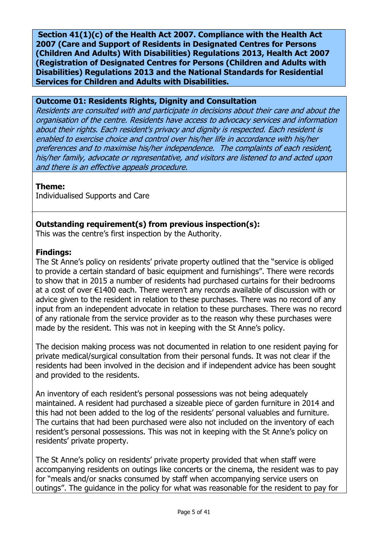**Section 41(1)(c) of the Health Act 2007. Compliance with the Health Act 2007 (Care and Support of Residents in Designated Centres for Persons (Children And Adults) With Disabilities) Regulations 2013, Health Act 2007 (Registration of Designated Centres for Persons (Children and Adults with Disabilities) Regulations 2013 and the National Standards for Residential Services for Children and Adults with Disabilities.**

### **Outcome 01: Residents Rights, Dignity and Consultation**

Residents are consulted with and participate in decisions about their care and about the organisation of the centre. Residents have access to advocacy services and information about their rights. Each resident's privacy and dignity is respected. Each resident is enabled to exercise choice and control over his/her life in accordance with his/her preferences and to maximise his/her independence. The complaints of each resident, his/her family, advocate or representative, and visitors are listened to and acted upon and there is an effective appeals procedure.

# **Theme:**

Individualised Supports and Care

# **Outstanding requirement(s) from previous inspection(s):**

This was the centre's first inspection by the Authority.

### **Findings:**

The St Anne's policy on residents' private property outlined that the "service is obliged to provide a certain standard of basic equipment and furnishings". There were records to show that in 2015 a number of residents had purchased curtains for their bedrooms at a cost of over €1400 each. There weren't any records available of discussion with or advice given to the resident in relation to these purchases. There was no record of any input from an independent advocate in relation to these purchases. There was no record of any rationale from the service provider as to the reason why these purchases were made by the resident. This was not in keeping with the St Anne's policy.

The decision making process was not documented in relation to one resident paying for private medical/surgical consultation from their personal funds. It was not clear if the residents had been involved in the decision and if independent advice has been sought and provided to the residents.

An inventory of each resident's personal possessions was not being adequately maintained. A resident had purchased a sizeable piece of garden furniture in 2014 and this had not been added to the log of the residents' personal valuables and furniture. The curtains that had been purchased were also not included on the inventory of each resident's personal possessions. This was not in keeping with the St Anne's policy on residents' private property.

The St Anne's policy on residents' private property provided that when staff were accompanying residents on outings like concerts or the cinema, the resident was to pay for "meals and/or snacks consumed by staff when accompanying service users on outings". The guidance in the policy for what was reasonable for the resident to pay for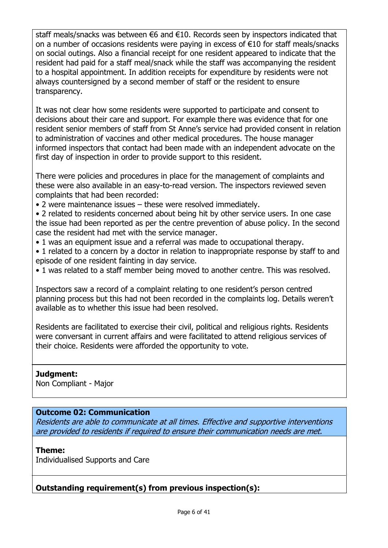staff meals/snacks was between €6 and €10. Records seen by inspectors indicated that on a number of occasions residents were paying in excess of  $E10$  for staff meals/snacks on social outings. Also a financial receipt for one resident appeared to indicate that the resident had paid for a staff meal/snack while the staff was accompanying the resident to a hospital appointment. In addition receipts for expenditure by residents were not always countersigned by a second member of staff or the resident to ensure transparency.

It was not clear how some residents were supported to participate and consent to decisions about their care and support. For example there was evidence that for one resident senior members of staff from St Anne's service had provided consent in relation to administration of vaccines and other medical procedures. The house manager informed inspectors that contact had been made with an independent advocate on the first day of inspection in order to provide support to this resident.

There were policies and procedures in place for the management of complaints and these were also available in an easy-to-read version. The inspectors reviewed seven complaints that had been recorded:

• 2 were maintenance issues – these were resolved immediately.

• 2 related to residents concerned about being hit by other service users. In one case the issue had been reported as per the centre prevention of abuse policy. In the second case the resident had met with the service manager.

- 1 was an equipment issue and a referral was made to occupational therapy.
- 1 related to a concern by a doctor in relation to inappropriate response by staff to and episode of one resident fainting in day service.
- 1 was related to a staff member being moved to another centre. This was resolved.

Inspectors saw a record of a complaint relating to one resident's person centred planning process but this had not been recorded in the complaints log. Details weren't available as to whether this issue had been resolved.

Residents are facilitated to exercise their civil, political and religious rights. Residents were conversant in current affairs and were facilitated to attend religious services of their choice. Residents were afforded the opportunity to vote.

# **Judgment:**

Non Compliant - Major

# **Outcome 02: Communication**

Residents are able to communicate at all times. Effective and supportive interventions are provided to residents if required to ensure their communication needs are met.

# **Theme:**

Individualised Supports and Care

# **Outstanding requirement(s) from previous inspection(s):**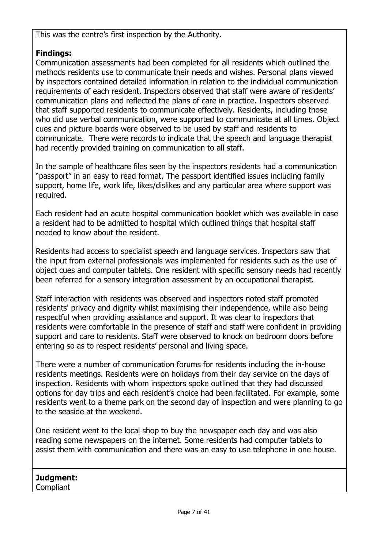This was the centre's first inspection by the Authority.

# **Findings:**

Communication assessments had been completed for all residents which outlined the methods residents use to communicate their needs and wishes. Personal plans viewed by inspectors contained detailed information in relation to the individual communication requirements of each resident. Inspectors observed that staff were aware of residents' communication plans and reflected the plans of care in practice. Inspectors observed that staff supported residents to communicate effectively. Residents, including those who did use verbal communication, were supported to communicate at all times. Object cues and picture boards were observed to be used by staff and residents to communicate. There were records to indicate that the speech and language therapist had recently provided training on communication to all staff.

In the sample of healthcare files seen by the inspectors residents had a communication "passport" in an easy to read format. The passport identified issues including family support, home life, work life, likes/dislikes and any particular area where support was required.

Each resident had an acute hospital communication booklet which was available in case a resident had to be admitted to hospital which outlined things that hospital staff needed to know about the resident.

Residents had access to specialist speech and language services. Inspectors saw that the input from external professionals was implemented for residents such as the use of object cues and computer tablets. One resident with specific sensory needs had recently been referred for a sensory integration assessment by an occupational therapist.

Staff interaction with residents was observed and inspectors noted staff promoted residents' privacy and dignity whilst maximising their independence, while also being respectful when providing assistance and support. It was clear to inspectors that residents were comfortable in the presence of staff and staff were confident in providing support and care to residents. Staff were observed to knock on bedroom doors before entering so as to respect residents' personal and living space.

There were a number of communication forums for residents including the in-house residents meetings. Residents were on holidays from their day service on the days of inspection. Residents with whom inspectors spoke outlined that they had discussed options for day trips and each resident's choice had been facilitated. For example, some residents went to a theme park on the second day of inspection and were planning to go to the seaside at the weekend.

One resident went to the local shop to buy the newspaper each day and was also reading some newspapers on the internet. Some residents had computer tablets to assist them with communication and there was an easy to use telephone in one house.

**Judgment: Compliant**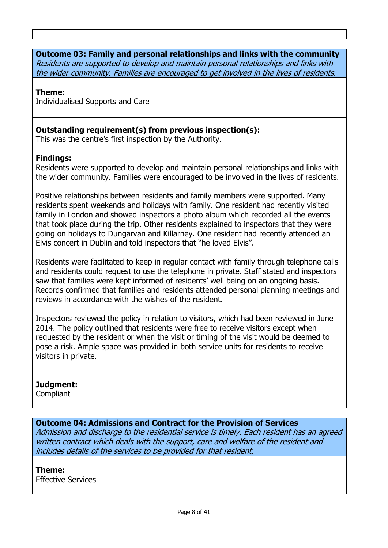#### **Outcome 03: Family and personal relationships and links with the community** Residents are supported to develop and maintain personal relationships and links with the wider community. Families are encouraged to get involved in the lives of residents.

### **Theme:**

Individualised Supports and Care

### **Outstanding requirement(s) from previous inspection(s):**

This was the centre's first inspection by the Authority.

### **Findings:**

Residents were supported to develop and maintain personal relationships and links with the wider community. Families were encouraged to be involved in the lives of residents.

Positive relationships between residents and family members were supported. Many residents spent weekends and holidays with family. One resident had recently visited family in London and showed inspectors a photo album which recorded all the events that took place during the trip. Other residents explained to inspectors that they were going on holidays to Dungarvan and Killarney. One resident had recently attended an Elvis concert in Dublin and told inspectors that "he loved Elvis".

Residents were facilitated to keep in regular contact with family through telephone calls and residents could request to use the telephone in private. Staff stated and inspectors saw that families were kept informed of residents' well being on an ongoing basis. Records confirmed that families and residents attended personal planning meetings and reviews in accordance with the wishes of the resident.

Inspectors reviewed the policy in relation to visitors, which had been reviewed in June 2014. The policy outlined that residents were free to receive visitors except when requested by the resident or when the visit or timing of the visit would be deemed to pose a risk. Ample space was provided in both service units for residents to receive visitors in private.

# **Judgment:**

**Compliant** 

### **Outcome 04: Admissions and Contract for the Provision of Services**

Admission and discharge to the residential service is timely. Each resident has an agreed written contract which deals with the support, care and welfare of the resident and includes details of the services to be provided for that resident.

#### **Theme:**

Effective Services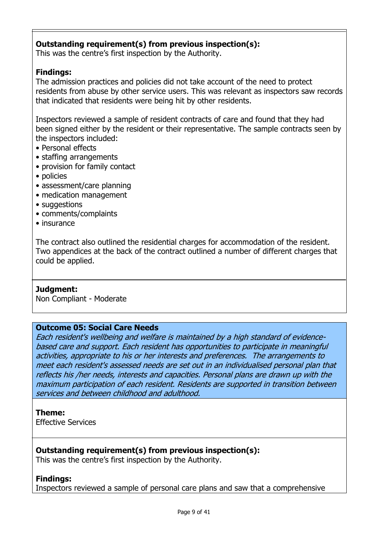# **Outstanding requirement(s) from previous inspection(s):**

This was the centre's first inspection by the Authority.

### **Findings:**

The admission practices and policies did not take account of the need to protect residents from abuse by other service users. This was relevant as inspectors saw records that indicated that residents were being hit by other residents.

Inspectors reviewed a sample of resident contracts of care and found that they had been signed either by the resident or their representative. The sample contracts seen by the inspectors included:

- Personal effects
- staffing arrangements
- provision for family contact
- policies
- assessment/care planning
- medication management
- suggestions
- comments/complaints
- insurance

The contract also outlined the residential charges for accommodation of the resident. Two appendices at the back of the contract outlined a number of different charges that could be applied.

#### **Judgment:**

Non Compliant - Moderate

### **Outcome 05: Social Care Needs**

Each resident's wellbeing and welfare is maintained by a high standard of evidencebased care and support. Each resident has opportunities to participate in meaningful activities, appropriate to his or her interests and preferences. The arrangements to meet each resident's assessed needs are set out in an individualised personal plan that reflects his /her needs, interests and capacities. Personal plans are drawn up with the maximum participation of each resident. Residents are supported in transition between services and between childhood and adulthood.

#### **Theme:**

Effective Services

### **Outstanding requirement(s) from previous inspection(s):**

This was the centre's first inspection by the Authority.

### **Findings:**

Inspectors reviewed a sample of personal care plans and saw that a comprehensive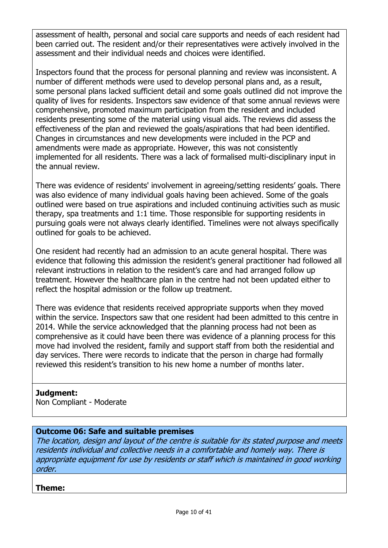assessment of health, personal and social care supports and needs of each resident had been carried out. The resident and/or their representatives were actively involved in the assessment and their individual needs and choices were identified.

Inspectors found that the process for personal planning and review was inconsistent. A number of different methods were used to develop personal plans and, as a result, some personal plans lacked sufficient detail and some goals outlined did not improve the quality of lives for residents. Inspectors saw evidence of that some annual reviews were comprehensive, promoted maximum participation from the resident and included residents presenting some of the material using visual aids. The reviews did assess the effectiveness of the plan and reviewed the goals/aspirations that had been identified. Changes in circumstances and new developments were included in the PCP and amendments were made as appropriate. However, this was not consistently implemented for all residents. There was a lack of formalised multi-disciplinary input in the annual review.

There was evidence of residents' involvement in agreeing/setting residents' goals. There was also evidence of many individual goals having been achieved. Some of the goals outlined were based on true aspirations and included continuing activities such as music therapy, spa treatments and 1:1 time. Those responsible for supporting residents in pursuing goals were not always clearly identified. Timelines were not always specifically outlined for goals to be achieved.

One resident had recently had an admission to an acute general hospital. There was evidence that following this admission the resident's general practitioner had followed all relevant instructions in relation to the resident's care and had arranged follow up treatment. However the healthcare plan in the centre had not been updated either to reflect the hospital admission or the follow up treatment.

There was evidence that residents received appropriate supports when they moved within the service. Inspectors saw that one resident had been admitted to this centre in 2014. While the service acknowledged that the planning process had not been as comprehensive as it could have been there was evidence of a planning process for this move had involved the resident, family and support staff from both the residential and day services. There were records to indicate that the person in charge had formally reviewed this resident's transition to his new home a number of months later.

# **Judgment:**

Non Compliant - Moderate

# **Outcome 06: Safe and suitable premises**

The location, design and layout of the centre is suitable for its stated purpose and meets residents individual and collective needs in a comfortable and homely way. There is appropriate equipment for use by residents or staff which is maintained in good working order.

### **Theme:**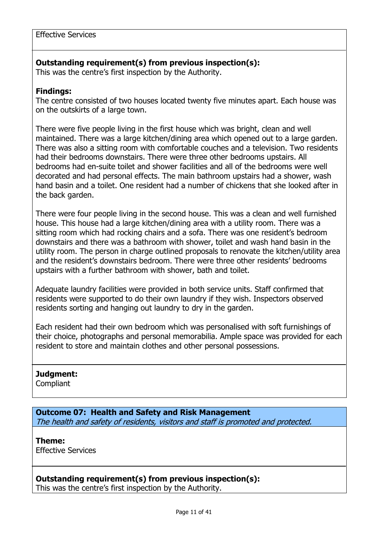### **Outstanding requirement(s) from previous inspection(s):**

This was the centre's first inspection by the Authority.

#### **Findings:**

The centre consisted of two houses located twenty five minutes apart. Each house was on the outskirts of a large town.

There were five people living in the first house which was bright, clean and well maintained. There was a large kitchen/dining area which opened out to a large garden. There was also a sitting room with comfortable couches and a television. Two residents had their bedrooms downstairs. There were three other bedrooms upstairs. All bedrooms had en-suite toilet and shower facilities and all of the bedrooms were well decorated and had personal effects. The main bathroom upstairs had a shower, wash hand basin and a toilet. One resident had a number of chickens that she looked after in the back garden.

There were four people living in the second house. This was a clean and well furnished house. This house had a large kitchen/dining area with a utility room. There was a sitting room which had rocking chairs and a sofa. There was one resident's bedroom downstairs and there was a bathroom with shower, toilet and wash hand basin in the utility room. The person in charge outlined proposals to renovate the kitchen/utility area and the resident's downstairs bedroom. There were three other residents' bedrooms upstairs with a further bathroom with shower, bath and toilet.

Adequate laundry facilities were provided in both service units. Staff confirmed that residents were supported to do their own laundry if they wish. Inspectors observed residents sorting and hanging out laundry to dry in the garden.

Each resident had their own bedroom which was personalised with soft furnishings of their choice, photographs and personal memorabilia. Ample space was provided for each resident to store and maintain clothes and other personal possessions.

### **Judgment:**

**Compliant** 

### **Outcome 07: Health and Safety and Risk Management** The health and safety of residents, visitors and staff is promoted and protected.

**Theme:**  Effective Services

# **Outstanding requirement(s) from previous inspection(s):**

This was the centre's first inspection by the Authority.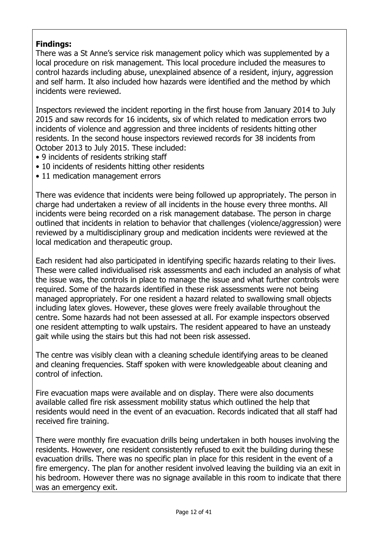# **Findings:**

There was a St Anne's service risk management policy which was supplemented by a local procedure on risk management. This local procedure included the measures to control hazards including abuse, unexplained absence of a resident, injury, aggression and self harm. It also included how hazards were identified and the method by which incidents were reviewed.

Inspectors reviewed the incident reporting in the first house from January 2014 to July 2015 and saw records for 16 incidents, six of which related to medication errors two incidents of violence and aggression and three incidents of residents hitting other residents. In the second house inspectors reviewed records for 38 incidents from October 2013 to July 2015. These included:

- 9 incidents of residents striking staff
- 10 incidents of residents hitting other residents
- 11 medication management errors

There was evidence that incidents were being followed up appropriately. The person in charge had undertaken a review of all incidents in the house every three months. All incidents were being recorded on a risk management database. The person in charge outlined that incidents in relation to behavior that challenges (violence/aggression) were reviewed by a multidisciplinary group and medication incidents were reviewed at the local medication and therapeutic group.

Each resident had also participated in identifying specific hazards relating to their lives. These were called individualised risk assessments and each included an analysis of what the issue was, the controls in place to manage the issue and what further controls were required. Some of the hazards identified in these risk assessments were not being managed appropriately. For one resident a hazard related to swallowing small objects including latex gloves. However, these gloves were freely available throughout the centre. Some hazards had not been assessed at all. For example inspectors observed one resident attempting to walk upstairs. The resident appeared to have an unsteady gait while using the stairs but this had not been risk assessed.

The centre was visibly clean with a cleaning schedule identifying areas to be cleaned and cleaning frequencies. Staff spoken with were knowledgeable about cleaning and control of infection.

Fire evacuation maps were available and on display. There were also documents available called fire risk assessment mobility status which outlined the help that residents would need in the event of an evacuation. Records indicated that all staff had received fire training.

There were monthly fire evacuation drills being undertaken in both houses involving the residents. However, one resident consistently refused to exit the building during these evacuation drills. There was no specific plan in place for this resident in the event of a fire emergency. The plan for another resident involved leaving the building via an exit in his bedroom. However there was no signage available in this room to indicate that there was an emergency exit.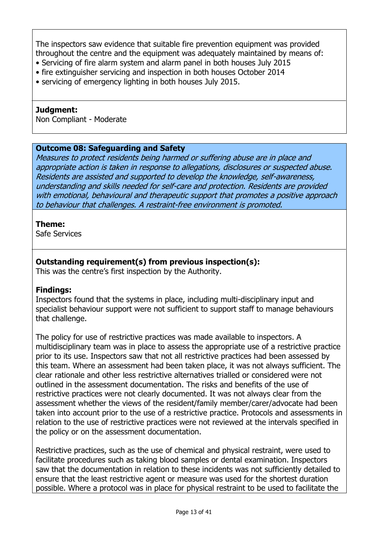The inspectors saw evidence that suitable fire prevention equipment was provided throughout the centre and the equipment was adequately maintained by means of:

- Servicing of fire alarm system and alarm panel in both houses July 2015
- fire extinguisher servicing and inspection in both houses October 2014
- servicing of emergency lighting in both houses July 2015.

#### **Judgment:**

Non Compliant - Moderate

### **Outcome 08: Safeguarding and Safety**

Measures to protect residents being harmed or suffering abuse are in place and appropriate action is taken in response to allegations, disclosures or suspected abuse. Residents are assisted and supported to develop the knowledge, self-awareness, understanding and skills needed for self-care and protection. Residents are provided with emotional, behavioural and therapeutic support that promotes a positive approach to behaviour that challenges. A restraint-free environment is promoted.

#### **Theme:**

Safe Services

# **Outstanding requirement(s) from previous inspection(s):**

This was the centre's first inspection by the Authority.

### **Findings:**

Inspectors found that the systems in place, including multi-disciplinary input and specialist behaviour support were not sufficient to support staff to manage behaviours that challenge.

The policy for use of restrictive practices was made available to inspectors. A multidisciplinary team was in place to assess the appropriate use of a restrictive practice prior to its use. Inspectors saw that not all restrictive practices had been assessed by this team. Where an assessment had been taken place, it was not always sufficient. The clear rationale and other less restrictive alternatives trialled or considered were not outlined in the assessment documentation. The risks and benefits of the use of restrictive practices were not clearly documented. It was not always clear from the assessment whether the views of the resident/family member/carer/advocate had been taken into account prior to the use of a restrictive practice. Protocols and assessments in relation to the use of restrictive practices were not reviewed at the intervals specified in the policy or on the assessment documentation.

Restrictive practices, such as the use of chemical and physical restraint, were used to facilitate procedures such as taking blood samples or dental examination. Inspectors saw that the documentation in relation to these incidents was not sufficiently detailed to ensure that the least restrictive agent or measure was used for the shortest duration possible. Where a protocol was in place for physical restraint to be used to facilitate the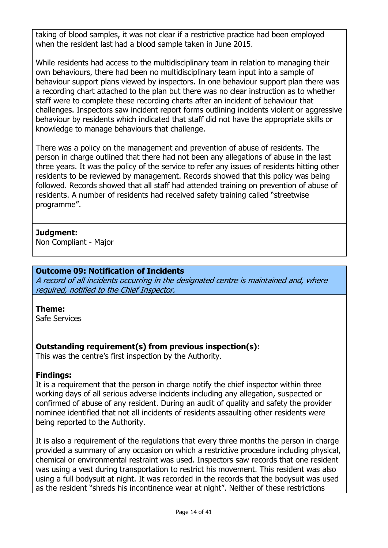taking of blood samples, it was not clear if a restrictive practice had been employed when the resident last had a blood sample taken in June 2015.

While residents had access to the multidisciplinary team in relation to managing their own behaviours, there had been no multidisciplinary team input into a sample of behaviour support plans viewed by inspectors. In one behaviour support plan there was a recording chart attached to the plan but there was no clear instruction as to whether staff were to complete these recording charts after an incident of behaviour that challenges. Inspectors saw incident report forms outlining incidents violent or aggressive behaviour by residents which indicated that staff did not have the appropriate skills or knowledge to manage behaviours that challenge.

There was a policy on the management and prevention of abuse of residents. The person in charge outlined that there had not been any allegations of abuse in the last three years. It was the policy of the service to refer any issues of residents hitting other residents to be reviewed by management. Records showed that this policy was being followed. Records showed that all staff had attended training on prevention of abuse of residents. A number of residents had received safety training called "streetwise programme".

### **Judgment:**

Non Compliant - Major

# **Outcome 09: Notification of Incidents**

A record of all incidents occurring in the designated centre is maintained and, where required, notified to the Chief Inspector.

#### **Theme:**

Safe Services

# **Outstanding requirement(s) from previous inspection(s):**

This was the centre's first inspection by the Authority.

### **Findings:**

It is a requirement that the person in charge notify the chief inspector within three working days of all serious adverse incidents including any allegation, suspected or confirmed of abuse of any resident. During an audit of quality and safety the provider nominee identified that not all incidents of residents assaulting other residents were being reported to the Authority.

It is also a requirement of the regulations that every three months the person in charge provided a summary of any occasion on which a restrictive procedure including physical, chemical or environmental restraint was used. Inspectors saw records that one resident was using a vest during transportation to restrict his movement. This resident was also using a full bodysuit at night. It was recorded in the records that the bodysuit was used as the resident "shreds his incontinence wear at night". Neither of these restrictions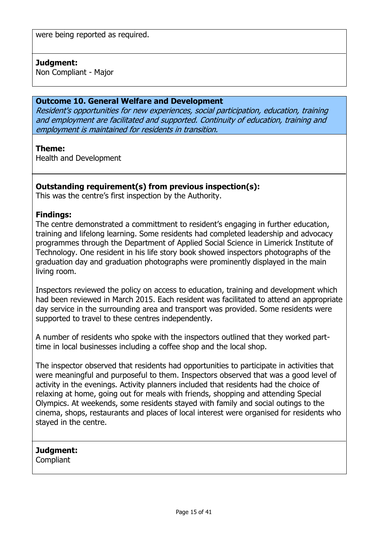### **Judgment:**

Non Compliant - Major

#### **Outcome 10. General Welfare and Development**

Resident's opportunities for new experiences, social participation, education, training and employment are facilitated and supported. Continuity of education, training and employment is maintained for residents in transition.

#### **Theme:**

Health and Development

### **Outstanding requirement(s) from previous inspection(s):**

This was the centre's first inspection by the Authority.

#### **Findings:**

The centre demonstrated a committment to resident's engaging in further education, training and lifelong learning. Some residents had completed leadership and advocacy programmes through the Department of Applied Social Science in Limerick Institute of Technology. One resident in his life story book showed inspectors photographs of the graduation day and graduation photographs were prominently displayed in the main living room.

Inspectors reviewed the policy on access to education, training and development which had been reviewed in March 2015. Each resident was facilitated to attend an appropriate day service in the surrounding area and transport was provided. Some residents were supported to travel to these centres independently.

A number of residents who spoke with the inspectors outlined that they worked parttime in local businesses including a coffee shop and the local shop.

The inspector observed that residents had opportunities to participate in activities that were meaningful and purposeful to them. Inspectors observed that was a good level of activity in the evenings. Activity planners included that residents had the choice of relaxing at home, going out for meals with friends, shopping and attending Special Olympics. At weekends, some residents stayed with family and social outings to the cinema, shops, restaurants and places of local interest were organised for residents who stayed in the centre.

# **Judgment:**

**Compliant**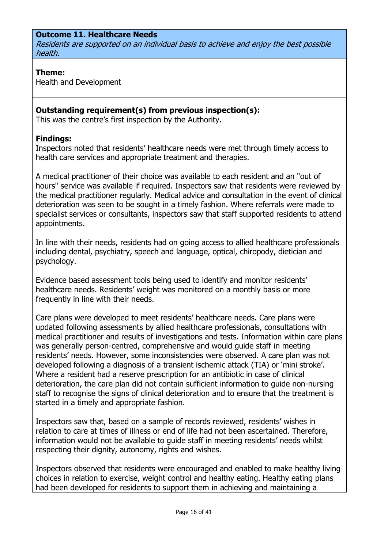### **Outcome 11. Healthcare Needs**

Residents are supported on an individual basis to achieve and enjoy the best possible health.

#### **Theme:**

Health and Development

### **Outstanding requirement(s) from previous inspection(s):**

This was the centre's first inspection by the Authority.

#### **Findings:**

Inspectors noted that residents' healthcare needs were met through timely access to health care services and appropriate treatment and therapies.

A medical practitioner of their choice was available to each resident and an "out of hours" service was available if required. Inspectors saw that residents were reviewed by the medical practitioner regularly. Medical advice and consultation in the event of clinical deterioration was seen to be sought in a timely fashion. Where referrals were made to specialist services or consultants, inspectors saw that staff supported residents to attend appointments.

In line with their needs, residents had on going access to allied healthcare professionals including dental, psychiatry, speech and language, optical, chiropody, dietician and psychology.

Evidence based assessment tools being used to identify and monitor residents' healthcare needs. Residents' weight was monitored on a monthly basis or more frequently in line with their needs.

Care plans were developed to meet residents' healthcare needs. Care plans were updated following assessments by allied healthcare professionals, consultations with medical practitioner and results of investigations and tests. Information within care plans was generally person-centred, comprehensive and would guide staff in meeting residents' needs. However, some inconsistencies were observed. A care plan was not developed following a diagnosis of a transient ischemic attack (TIA) or 'mini stroke'. Where a resident had a reserve prescription for an antibiotic in case of clinical deterioration, the care plan did not contain sufficient information to guide non-nursing staff to recognise the signs of clinical deterioration and to ensure that the treatment is started in a timely and appropriate fashion.

Inspectors saw that, based on a sample of records reviewed, residents' wishes in relation to care at times of illness or end of life had not been ascertained. Therefore, information would not be available to guide staff in meeting residents' needs whilst respecting their dignity, autonomy, rights and wishes.

Inspectors observed that residents were encouraged and enabled to make healthy living choices in relation to exercise, weight control and healthy eating. Healthy eating plans had been developed for residents to support them in achieving and maintaining a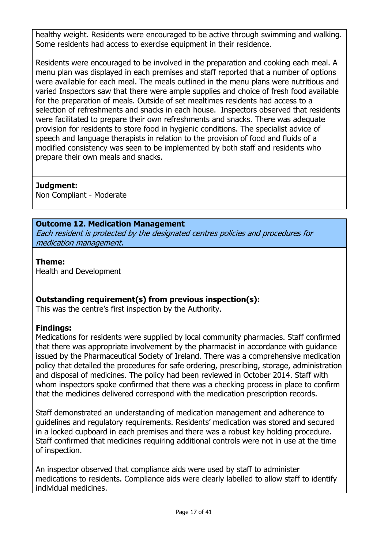healthy weight. Residents were encouraged to be active through swimming and walking. Some residents had access to exercise equipment in their residence.

Residents were encouraged to be involved in the preparation and cooking each meal. A menu plan was displayed in each premises and staff reported that a number of options were available for each meal. The meals outlined in the menu plans were nutritious and varied Inspectors saw that there were ample supplies and choice of fresh food available for the preparation of meals. Outside of set mealtimes residents had access to a selection of refreshments and snacks in each house. Inspectors observed that residents were facilitated to prepare their own refreshments and snacks. There was adequate provision for residents to store food in hygienic conditions. The specialist advice of speech and language therapists in relation to the provision of food and fluids of a modified consistency was seen to be implemented by both staff and residents who prepare their own meals and snacks.

# **Judgment:**

Non Compliant - Moderate

### **Outcome 12. Medication Management**

Each resident is protected by the designated centres policies and procedures for medication management.

#### **Theme:**

Health and Development

# **Outstanding requirement(s) from previous inspection(s):**

This was the centre's first inspection by the Authority.

### **Findings:**

Medications for residents were supplied by local community pharmacies. Staff confirmed that there was appropriate involvement by the pharmacist in accordance with guidance issued by the Pharmaceutical Society of Ireland. There was a comprehensive medication policy that detailed the procedures for safe ordering, prescribing, storage, administration and disposal of medicines. The policy had been reviewed in October 2014. Staff with whom inspectors spoke confirmed that there was a checking process in place to confirm that the medicines delivered correspond with the medication prescription records.

Staff demonstrated an understanding of medication management and adherence to guidelines and regulatory requirements. Residents' medication was stored and secured in a locked cupboard in each premises and there was a robust key holding procedure. Staff confirmed that medicines requiring additional controls were not in use at the time of inspection.

An inspector observed that compliance aids were used by staff to administer medications to residents. Compliance aids were clearly labelled to allow staff to identify individual medicines.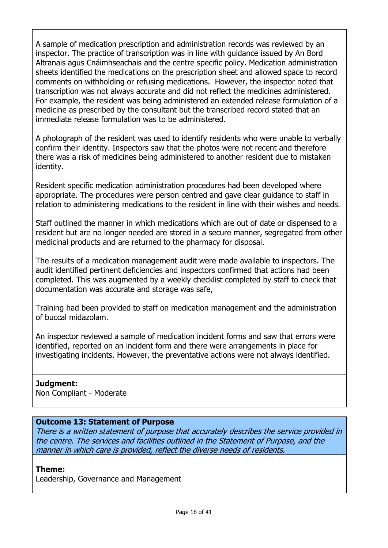A sample of medication prescription and administration records was reviewed by an inspector. The practice of transcription was in line with guidance issued by An Bord Altranais agus Cnáimhseachais and the centre specific policy. Medication administration sheets identified the medications on the prescription sheet and allowed space to record comments on withholding or refusing medications. However, the inspector noted that transcription was not always accurate and did not reflect the medicines administered. For example, the resident was being administered an extended release formulation of a medicine as prescribed by the consultant but the transcribed record stated that an immediate release formulation was to be administered.

A photograph of the resident was used to identify residents who were unable to verbally confirm their identity. Inspectors saw that the photos were not recent and therefore there was a risk of medicines being administered to another resident due to mistaken identity.

Resident specific medication administration procedures had been developed where appropriate. The procedures were person centred and gave clear guidance to staff in relation to administering medications to the resident in line with their wishes and needs.

Staff outlined the manner in which medications which are out of date or dispensed to a resident but are no longer needed are stored in a secure manner, segregated from other medicinal products and are returned to the pharmacy for disposal.

The results of a medication management audit were made available to inspectors. The audit identified pertinent deficiencies and inspectors confirmed that actions had been completed. This was augmented by a weekly checklist completed by staff to check that documentation was accurate and storage was safe,

Training had been provided to staff on medication management and the administration of buccal midazolam.

An inspector reviewed a sample of medication incident forms and saw that errors were identified, reported on an incident form and there were arrangements in place for investigating incidents. However, the preventative actions were not always identified.

### **Judgment:**

Non Compliant - Moderate

### **Outcome 13: Statement of Purpose**

There is a written statement of purpose that accurately describes the service provided in the centre. The services and facilities outlined in the Statement of Purpose, and the manner in which care is provided, reflect the diverse needs of residents.

### **Theme:**

Leadership, Governance and Management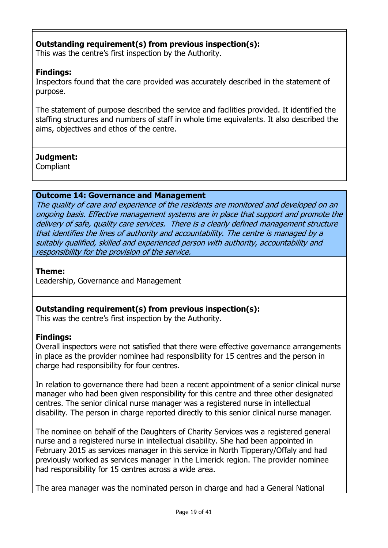# **Outstanding requirement(s) from previous inspection(s):**

This was the centre's first inspection by the Authority.

# **Findings:**

Inspectors found that the care provided was accurately described in the statement of purpose.

The statement of purpose described the service and facilities provided. It identified the staffing structures and numbers of staff in whole time equivalents. It also described the aims, objectives and ethos of the centre.

# **Judgment:**

**Compliant** 

### **Outcome 14: Governance and Management**

The quality of care and experience of the residents are monitored and developed on an ongoing basis. Effective management systems are in place that support and promote the delivery of safe, quality care services. There is a clearly defined management structure that identifies the lines of authority and accountability. The centre is managed by a suitably qualified, skilled and experienced person with authority, accountability and responsibility for the provision of the service.

### **Theme:**

Leadership, Governance and Management

# **Outstanding requirement(s) from previous inspection(s):**

This was the centre's first inspection by the Authority.

# **Findings:**

Overall inspectors were not satisfied that there were effective governance arrangements in place as the provider nominee had responsibility for 15 centres and the person in charge had responsibility for four centres.

In relation to governance there had been a recent appointment of a senior clinical nurse manager who had been given responsibility for this centre and three other designated centres. The senior clinical nurse manager was a registered nurse in intellectual disability. The person in charge reported directly to this senior clinical nurse manager.

The nominee on behalf of the Daughters of Charity Services was a registered general nurse and a registered nurse in intellectual disability. She had been appointed in February 2015 as services manager in this service in North Tipperary/Offaly and had previously worked as services manager in the Limerick region. The provider nominee had responsibility for 15 centres across a wide area.

The area manager was the nominated person in charge and had a General National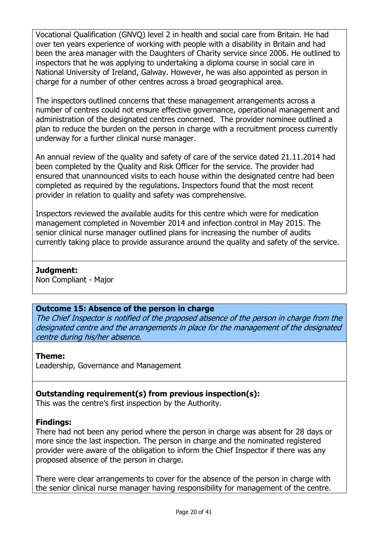Vocational Qualification (GNVQ) level 2 in health and social care from Britain. He had over ten years experience of working with people with a disability in Britain and had been the area manager with the Daughters of Charity service since 2006. He outlined to inspectors that he was applying to undertaking a diploma course in social care in National University of Ireland, Galway. However, he was also appointed as person in charge for a number of other centres across a broad geographical area.

The inspectors outlined concerns that these management arrangements across a number of centres could not ensure effective governance, operational management and administration of the designated centres concerned. The provider nominee outlined a plan to reduce the burden on the person in charge with a recruitment process currently underway for a further clinical nurse manager.

An annual review of the quality and safety of care of the service dated 21.11.2014 had been completed by the Quality and Risk Officer for the service. The provider had ensured that unannounced visits to each house within the designated centre had been completed as required by the regulations. Inspectors found that the most recent provider in relation to quality and safety was comprehensive.

Inspectors reviewed the available audits for this centre which were for medication management completed in November 2014 and infection control in May 2015. The senior clinical nurse manager outlined plans for increasing the number of audits currently taking place to provide assurance around the quality and safety of the service.

### **Judgment:**

Non Compliant - Major

### **Outcome 15: Absence of the person in charge**

The Chief Inspector is notified of the proposed absence of the person in charge from the designated centre and the arrangements in place for the management of the designated centre during his/her absence.

#### **Theme:**

Leadership, Governance and Management

# **Outstanding requirement(s) from previous inspection(s):**

This was the centre's first inspection by the Authority.

### **Findings:**

There had not been any period where the person in charge was absent for 28 days or more since the last inspection. The person in charge and the nominated registered provider were aware of the obligation to inform the Chief Inspector if there was any proposed absence of the person in charge.

There were clear arrangements to cover for the absence of the person in charge with the senior clinical nurse manager having responsibility for management of the centre.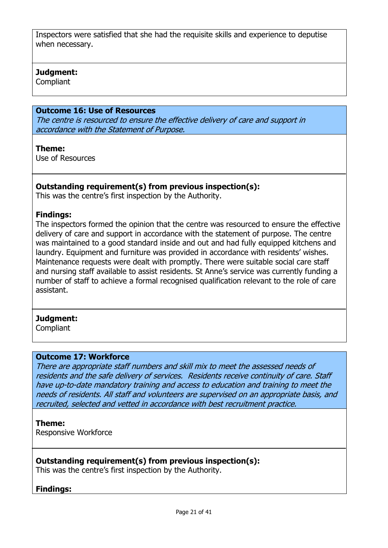Inspectors were satisfied that she had the requisite skills and experience to deputise when necessary.

#### **Judgment:**

Compliant

### **Outcome 16: Use of Resources**

The centre is resourced to ensure the effective delivery of care and support in accordance with the Statement of Purpose.

#### **Theme:**

Use of Resources

#### **Outstanding requirement(s) from previous inspection(s):**

This was the centre's first inspection by the Authority.

#### **Findings:**

The inspectors formed the opinion that the centre was resourced to ensure the effective delivery of care and support in accordance with the statement of purpose. The centre was maintained to a good standard inside and out and had fully equipped kitchens and laundry. Equipment and furniture was provided in accordance with residents' wishes. Maintenance requests were dealt with promptly. There were suitable social care staff and nursing staff available to assist residents. St Anne's service was currently funding a number of staff to achieve a formal recognised qualification relevant to the role of care assistant.

#### **Judgment:**

Compliant

#### **Outcome 17: Workforce**

There are appropriate staff numbers and skill mix to meet the assessed needs of residents and the safe delivery of services. Residents receive continuity of care. Staff have up-to-date mandatory training and access to education and training to meet the needs of residents. All staff and volunteers are supervised on an appropriate basis, and recruited, selected and vetted in accordance with best recruitment practice.

#### **Theme:**

Responsive Workforce

### **Outstanding requirement(s) from previous inspection(s):**

This was the centre's first inspection by the Authority.

#### **Findings:**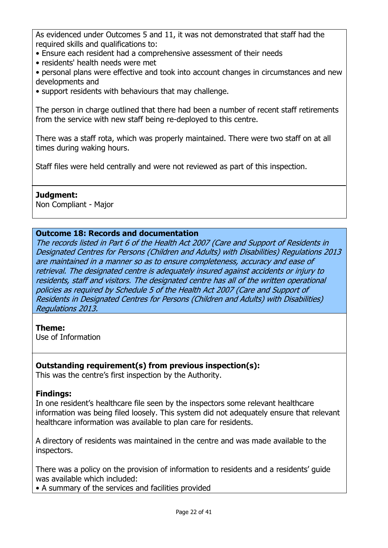As evidenced under Outcomes 5 and 11, it was not demonstrated that staff had the required skills and qualifications to:

- Ensure each resident had a comprehensive assessment of their needs
- residents' health needs were met
- personal plans were effective and took into account changes in circumstances and new developments and
- support residents with behaviours that may challenge.

The person in charge outlined that there had been a number of recent staff retirements from the service with new staff being re-deployed to this centre.

There was a staff rota, which was properly maintained. There were two staff on at all times during waking hours.

Staff files were held centrally and were not reviewed as part of this inspection.

### **Judgment:**

Non Compliant - Major

### **Outcome 18: Records and documentation**

The records listed in Part 6 of the Health Act 2007 (Care and Support of Residents in Designated Centres for Persons (Children and Adults) with Disabilities) Regulations 2013 are maintained in a manner so as to ensure completeness, accuracy and ease of retrieval. The designated centre is adequately insured against accidents or injury to residents, staff and visitors. The designated centre has all of the written operational policies as required by Schedule 5 of the Health Act 2007 (Care and Support of Residents in Designated Centres for Persons (Children and Adults) with Disabilities) Regulations 2013.

### **Theme:**

Use of Information

# **Outstanding requirement(s) from previous inspection(s):**

This was the centre's first inspection by the Authority.

# **Findings:**

In one resident's healthcare file seen by the inspectors some relevant healthcare information was being filed loosely. This system did not adequately ensure that relevant healthcare information was available to plan care for residents.

A directory of residents was maintained in the centre and was made available to the inspectors.

There was a policy on the provision of information to residents and a residents' guide was available which included:

• A summary of the services and facilities provided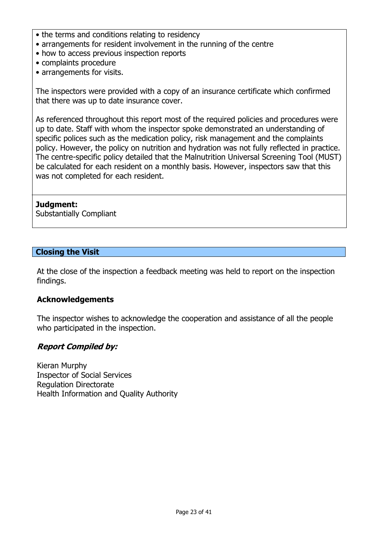- the terms and conditions relating to residency
- arrangements for resident involvement in the running of the centre
- how to access previous inspection reports
- complaints procedure
- arrangements for visits.

The inspectors were provided with a copy of an insurance certificate which confirmed that there was up to date insurance cover.

As referenced throughout this report most of the required policies and procedures were up to date. Staff with whom the inspector spoke demonstrated an understanding of specific polices such as the medication policy, risk management and the complaints policy. However, the policy on nutrition and hydration was not fully reflected in practice. The centre-specific policy detailed that the Malnutrition Universal Screening Tool (MUST) be calculated for each resident on a monthly basis. However, inspectors saw that this was not completed for each resident.

#### **Judgment:**

Substantially Compliant

#### **Closing the Visit**

At the close of the inspection a feedback meeting was held to report on the inspection findings.

#### **Acknowledgements**

The inspector wishes to acknowledge the cooperation and assistance of all the people who participated in the inspection.

### **Report Compiled by:**

Kieran Murphy Inspector of Social Services Regulation Directorate Health Information and Quality Authority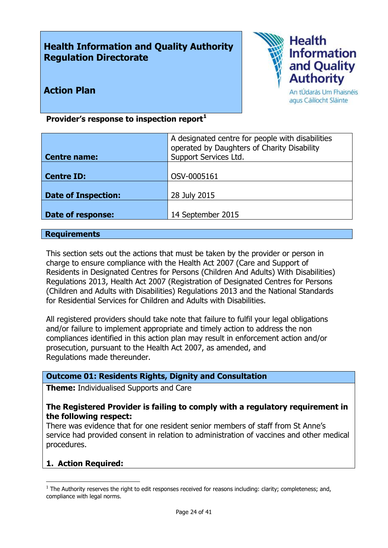# **Health Information and Quality Authority Regulation Directorate**



# **Action Plan**

An tÚdarás Um Fhaisnéis agus Cáilíocht Sláinte

### **Provider's response to inspection report<sup>1</sup>**

| <b>Centre name:</b>        | A designated centre for people with disabilities<br>operated by Daughters of Charity Disability<br>Support Services Ltd. |
|----------------------------|--------------------------------------------------------------------------------------------------------------------------|
| <b>Centre ID:</b>          | OSV-0005161                                                                                                              |
| <b>Date of Inspection:</b> | 28 July 2015                                                                                                             |
| Date of response:          | 14 September 2015                                                                                                        |

#### **Requirements**

This section sets out the actions that must be taken by the provider or person in charge to ensure compliance with the Health Act 2007 (Care and Support of Residents in Designated Centres for Persons (Children And Adults) With Disabilities) Regulations 2013, Health Act 2007 (Registration of Designated Centres for Persons (Children and Adults with Disabilities) Regulations 2013 and the National Standards for Residential Services for Children and Adults with Disabilities.

All registered providers should take note that failure to fulfil your legal obligations and/or failure to implement appropriate and timely action to address the non compliances identified in this action plan may result in enforcement action and/or prosecution, pursuant to the Health Act 2007, as amended, and Regulations made thereunder.

### **Outcome 01: Residents Rights, Dignity and Consultation**

**Theme:** Individualised Supports and Care

#### **The Registered Provider is failing to comply with a regulatory requirement in the following respect:**

There was evidence that for one resident senior members of staff from St Anne's service had provided consent in relation to administration of vaccines and other medical procedures.

### **1. Action Required:**

 $\overline{a}$ 

 $<sup>1</sup>$  The Authority reserves the right to edit responses received for reasons including: clarity; completeness; and,</sup> compliance with legal norms.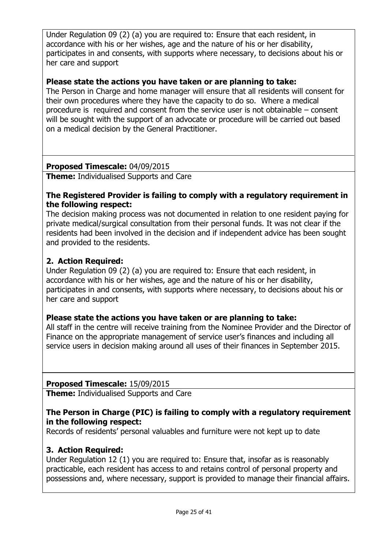Under Regulation 09 (2) (a) you are required to: Ensure that each resident, in accordance with his or her wishes, age and the nature of his or her disability, participates in and consents, with supports where necessary, to decisions about his or her care and support

### **Please state the actions you have taken or are planning to take:**

The Person in Charge and home manager will ensure that all residents will consent for their own procedures where they have the capacity to do so. Where a medical procedure is required and consent from the service user is not obtainable – consent will be sought with the support of an advocate or procedure will be carried out based on a medical decision by the General Practitioner.

### **Proposed Timescale:** 04/09/2015

**Theme:** Individualised Supports and Care

### **The Registered Provider is failing to comply with a regulatory requirement in the following respect:**

The decision making process was not documented in relation to one resident paying for private medical/surgical consultation from their personal funds. It was not clear if the residents had been involved in the decision and if independent advice has been sought and provided to the residents.

### **2. Action Required:**

Under Regulation 09 (2) (a) you are required to: Ensure that each resident, in accordance with his or her wishes, age and the nature of his or her disability, participates in and consents, with supports where necessary, to decisions about his or her care and support

### **Please state the actions you have taken or are planning to take:**

All staff in the centre will receive training from the Nominee Provider and the Director of Finance on the appropriate management of service user's finances and including all service users in decision making around all uses of their finances in September 2015.

### **Proposed Timescale:** 15/09/2015

**Theme:** Individualised Supports and Care

### **The Person in Charge (PIC) is failing to comply with a regulatory requirement in the following respect:**

Records of residents' personal valuables and furniture were not kept up to date

# **3. Action Required:**

Under Regulation 12 (1) you are required to: Ensure that, insofar as is reasonably practicable, each resident has access to and retains control of personal property and possessions and, where necessary, support is provided to manage their financial affairs.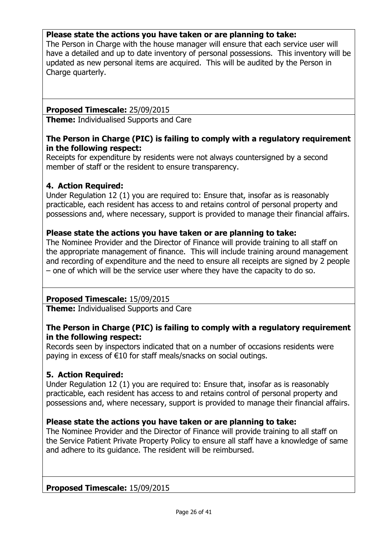### **Please state the actions you have taken or are planning to take:**

The Person in Charge with the house manager will ensure that each service user will have a detailed and up to date inventory of personal possessions. This inventory will be updated as new personal items are acquired. This will be audited by the Person in Charge quarterly.

### **Proposed Timescale:** 25/09/2015

**Theme:** Individualised Supports and Care

### **The Person in Charge (PIC) is failing to comply with a regulatory requirement in the following respect:**

Receipts for expenditure by residents were not always countersigned by a second member of staff or the resident to ensure transparency.

### **4. Action Required:**

Under Regulation 12 (1) you are required to: Ensure that, insofar as is reasonably practicable, each resident has access to and retains control of personal property and possessions and, where necessary, support is provided to manage their financial affairs.

### **Please state the actions you have taken or are planning to take:**

The Nominee Provider and the Director of Finance will provide training to all staff on the appropriate management of finance. This will include training around management and recording of expenditure and the need to ensure all receipts are signed by 2 people – one of which will be the service user where they have the capacity to do so.

# **Proposed Timescale:** 15/09/2015

**Theme:** Individualised Supports and Care

### **The Person in Charge (PIC) is failing to comply with a regulatory requirement in the following respect:**

Records seen by inspectors indicated that on a number of occasions residents were paying in excess of €10 for staff meals/snacks on social outings.

### **5. Action Required:**

Under Regulation 12 (1) you are required to: Ensure that, insofar as is reasonably practicable, each resident has access to and retains control of personal property and possessions and, where necessary, support is provided to manage their financial affairs.

### **Please state the actions you have taken or are planning to take:**

The Nominee Provider and the Director of Finance will provide training to all staff on the Service Patient Private Property Policy to ensure all staff have a knowledge of same and adhere to its guidance. The resident will be reimbursed.

### **Proposed Timescale:** 15/09/2015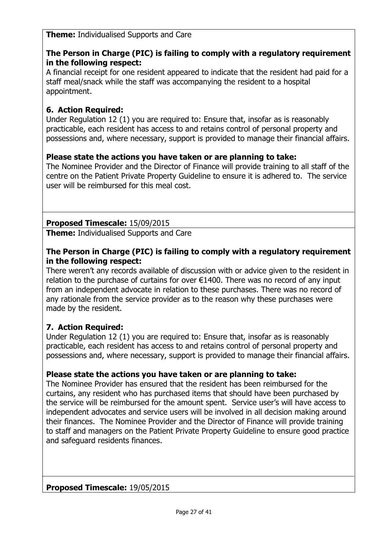**Theme:** Individualised Supports and Care

# **The Person in Charge (PIC) is failing to comply with a regulatory requirement in the following respect:**

A financial receipt for one resident appeared to indicate that the resident had paid for a staff meal/snack while the staff was accompanying the resident to a hospital appointment.

# **6. Action Required:**

Under Regulation 12 (1) you are required to: Ensure that, insofar as is reasonably practicable, each resident has access to and retains control of personal property and possessions and, where necessary, support is provided to manage their financial affairs.

# **Please state the actions you have taken or are planning to take:**

The Nominee Provider and the Director of Finance will provide training to all staff of the centre on the Patient Private Property Guideline to ensure it is adhered to. The service user will be reimbursed for this meal cost.

# **Proposed Timescale:** 15/09/2015

**Theme:** Individualised Supports and Care

### **The Person in Charge (PIC) is failing to comply with a regulatory requirement in the following respect:**

There weren't any records available of discussion with or advice given to the resident in relation to the purchase of curtains for over  $E1400$ . There was no record of any input from an independent advocate in relation to these purchases. There was no record of any rationale from the service provider as to the reason why these purchases were made by the resident.

# **7. Action Required:**

Under Regulation 12 (1) you are required to: Ensure that, insofar as is reasonably practicable, each resident has access to and retains control of personal property and possessions and, where necessary, support is provided to manage their financial affairs.

# **Please state the actions you have taken or are planning to take:**

The Nominee Provider has ensured that the resident has been reimbursed for the curtains, any resident who has purchased items that should have been purchased by the service will be reimbursed for the amount spent. Service user's will have access to independent advocates and service users will be involved in all decision making around their finances. The Nominee Provider and the Director of Finance will provide training to staff and managers on the Patient Private Property Guideline to ensure good practice and safeguard residents finances.

### **Proposed Timescale:** 19/05/2015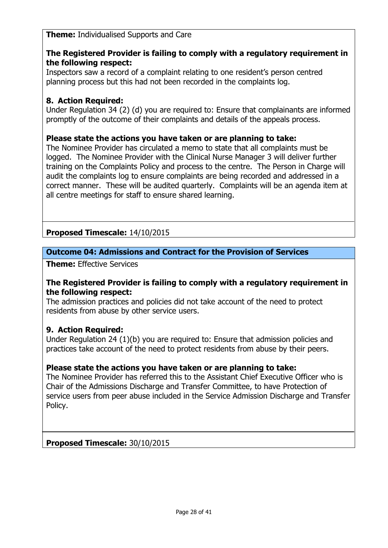**Theme:** Individualised Supports and Care

### **The Registered Provider is failing to comply with a regulatory requirement in the following respect:**

Inspectors saw a record of a complaint relating to one resident's person centred planning process but this had not been recorded in the complaints log.

# **8. Action Required:**

Under Regulation 34 (2) (d) you are required to: Ensure that complainants are informed promptly of the outcome of their complaints and details of the appeals process.

### **Please state the actions you have taken or are planning to take:**

The Nominee Provider has circulated a memo to state that all complaints must be logged. The Nominee Provider with the Clinical Nurse Manager 3 will deliver further training on the Complaints Policy and process to the centre. The Person in Charge will audit the complaints log to ensure complaints are being recorded and addressed in a correct manner. These will be audited quarterly. Complaints will be an agenda item at all centre meetings for staff to ensure shared learning.

# **Proposed Timescale:** 14/10/2015

# **Outcome 04: Admissions and Contract for the Provision of Services**

**Theme:** Effective Services

#### **The Registered Provider is failing to comply with a regulatory requirement in the following respect:**

The admission practices and policies did not take account of the need to protect residents from abuse by other service users.

### **9. Action Required:**

Under Regulation 24 (1)(b) you are required to: Ensure that admission policies and practices take account of the need to protect residents from abuse by their peers.

### **Please state the actions you have taken or are planning to take:**

The Nominee Provider has referred this to the Assistant Chief Executive Officer who is Chair of the Admissions Discharge and Transfer Committee, to have Protection of service users from peer abuse included in the Service Admission Discharge and Transfer Policy.

### **Proposed Timescale:** 30/10/2015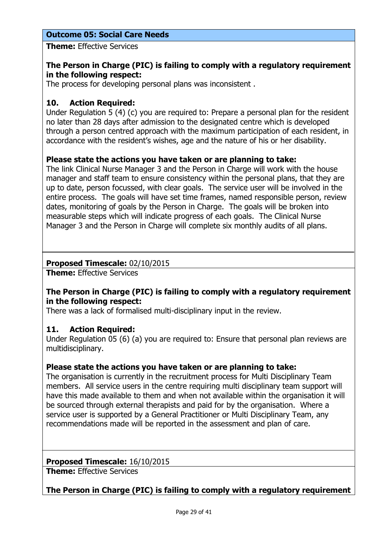# **Outcome 05: Social Care Needs**

**Theme:** Effective Services

### **The Person in Charge (PIC) is failing to comply with a regulatory requirement in the following respect:**

The process for developing personal plans was inconsistent .

### **10. Action Required:**

Under Regulation 5 (4) (c) you are required to: Prepare a personal plan for the resident no later than 28 days after admission to the designated centre which is developed through a person centred approach with the maximum participation of each resident, in accordance with the resident's wishes, age and the nature of his or her disability.

### **Please state the actions you have taken or are planning to take:**

The link Clinical Nurse Manager 3 and the Person in Charge will work with the house manager and staff team to ensure consistency within the personal plans, that they are up to date, person focussed, with clear goals. The service user will be involved in the entire process. The goals will have set time frames, named responsible person, review dates, monitoring of goals by the Person in Charge. The goals will be broken into measurable steps which will indicate progress of each goals. The Clinical Nurse Manager 3 and the Person in Charge will complete six monthly audits of all plans.

### **Proposed Timescale:** 02/10/2015

**Theme:** Effective Services

### **The Person in Charge (PIC) is failing to comply with a regulatory requirement in the following respect:**

There was a lack of formalised multi-disciplinary input in the review.

### **11. Action Required:**

Under Regulation 05 (6) (a) you are required to: Ensure that personal plan reviews are multidisciplinary.

### **Please state the actions you have taken or are planning to take:**

The organisation is currently in the recruitment process for Multi Disciplinary Team members. All service users in the centre requiring multi disciplinary team support will have this made available to them and when not available within the organisation it will be sourced through external therapists and paid for by the organisation. Where a service user is supported by a General Practitioner or Multi Disciplinary Team, any recommendations made will be reported in the assessment and plan of care.

#### **Proposed Timescale:** 16/10/2015

**Theme:** Effective Services

**The Person in Charge (PIC) is failing to comply with a regulatory requirement**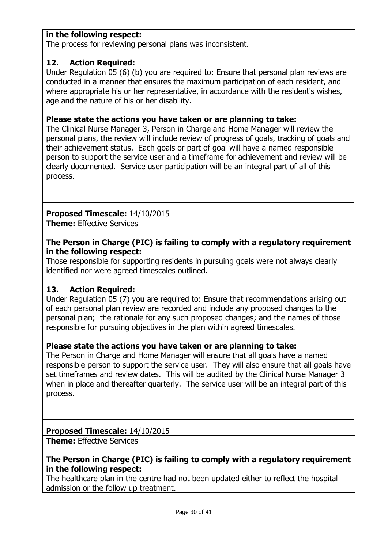### **in the following respect:**

The process for reviewing personal plans was inconsistent.

### **12. Action Required:**

Under Regulation 05 (6) (b) you are required to: Ensure that personal plan reviews are conducted in a manner that ensures the maximum participation of each resident, and where appropriate his or her representative, in accordance with the resident's wishes, age and the nature of his or her disability.

### **Please state the actions you have taken or are planning to take:**

The Clinical Nurse Manager 3, Person in Charge and Home Manager will review the personal plans, the review will include review of progress of goals, tracking of goals and their achievement status. Each goals or part of goal will have a named responsible person to support the service user and a timeframe for achievement and review will be clearly documented. Service user participation will be an integral part of all of this process.

### **Proposed Timescale:** 14/10/2015

**Theme:** Effective Services

#### **The Person in Charge (PIC) is failing to comply with a regulatory requirement in the following respect:**

Those responsible for supporting residents in pursuing goals were not always clearly identified nor were agreed timescales outlined.

### **13. Action Required:**

Under Regulation 05 (7) you are required to: Ensure that recommendations arising out of each personal plan review are recorded and include any proposed changes to the personal plan; the rationale for any such proposed changes; and the names of those responsible for pursuing objectives in the plan within agreed timescales.

### **Please state the actions you have taken or are planning to take:**

The Person in Charge and Home Manager will ensure that all goals have a named responsible person to support the service user. They will also ensure that all goals have set timeframes and review dates. This will be audited by the Clinical Nurse Manager 3 when in place and thereafter quarterly. The service user will be an integral part of this process.

### **Proposed Timescale:** 14/10/2015

**Theme:** Effective Services

### **The Person in Charge (PIC) is failing to comply with a regulatory requirement in the following respect:**

The healthcare plan in the centre had not been updated either to reflect the hospital admission or the follow up treatment.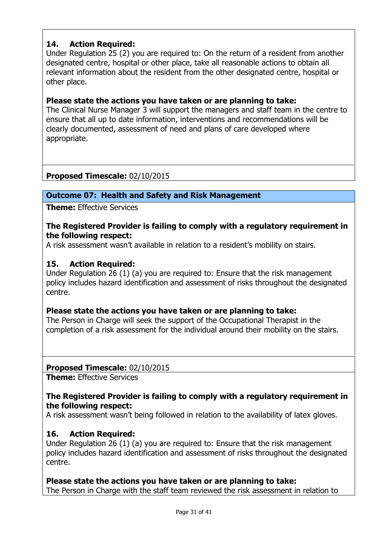# **14. Action Required:**

Under Regulation 25 (2) you are required to: On the return of a resident from another designated centre, hospital or other place, take all reasonable actions to obtain all relevant information about the resident from the other designated centre, hospital or other place.

### **Please state the actions you have taken or are planning to take:**

The Clinical Nurse Manager 3 will support the managers and staff team in the centre to ensure that all up to date information, interventions and recommendations will be clearly documented, assessment of need and plans of care developed where appropriate.

# **Proposed Timescale:** 02/10/2015

### **Outcome 07: Health and Safety and Risk Management**

**Theme:** Effective Services

### **The Registered Provider is failing to comply with a regulatory requirement in the following respect:**

A risk assessment wasn't available in relation to a resident's mobility on stairs.

### **15. Action Required:**

Under Regulation 26 (1) (a) you are required to: Ensure that the risk management policy includes hazard identification and assessment of risks throughout the designated centre.

### **Please state the actions you have taken or are planning to take:**

The Person in Charge will seek the support of the Occupational Therapist in the completion of a risk assessment for the individual around their mobility on the stairs.

### **Proposed Timescale:** 02/10/2015

**Theme:** Effective Services

### **The Registered Provider is failing to comply with a regulatory requirement in the following respect:**

A risk assessment wasn't being followed in relation to the availability of latex gloves.

### **16. Action Required:**

Under Regulation 26 (1) (a) you are required to: Ensure that the risk management policy includes hazard identification and assessment of risks throughout the designated centre.

# **Please state the actions you have taken or are planning to take:**

The Person in Charge with the staff team reviewed the risk assessment in relation to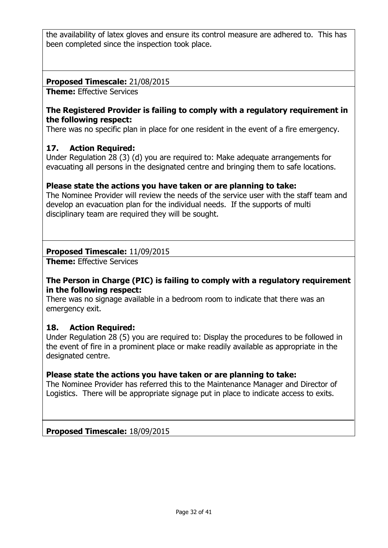the availability of latex gloves and ensure its control measure are adhered to. This has been completed since the inspection took place.

### **Proposed Timescale:** 21/08/2015

**Theme:** Effective Services

### **The Registered Provider is failing to comply with a regulatory requirement in the following respect:**

There was no specific plan in place for one resident in the event of a fire emergency.

### **17. Action Required:**

Under Regulation 28 (3) (d) you are required to: Make adequate arrangements for evacuating all persons in the designated centre and bringing them to safe locations.

### **Please state the actions you have taken or are planning to take:**

The Nominee Provider will review the needs of the service user with the staff team and develop an evacuation plan for the individual needs. If the supports of multi disciplinary team are required they will be sought.

### **Proposed Timescale:** 11/09/2015

**Theme:** Effective Services

### **The Person in Charge (PIC) is failing to comply with a regulatory requirement in the following respect:**

There was no signage available in a bedroom room to indicate that there was an emergency exit.

### **18. Action Required:**

Under Regulation 28 (5) you are required to: Display the procedures to be followed in the event of fire in a prominent place or make readily available as appropriate in the designated centre.

### **Please state the actions you have taken or are planning to take:**

The Nominee Provider has referred this to the Maintenance Manager and Director of Logistics. There will be appropriate signage put in place to indicate access to exits.

**Proposed Timescale:** 18/09/2015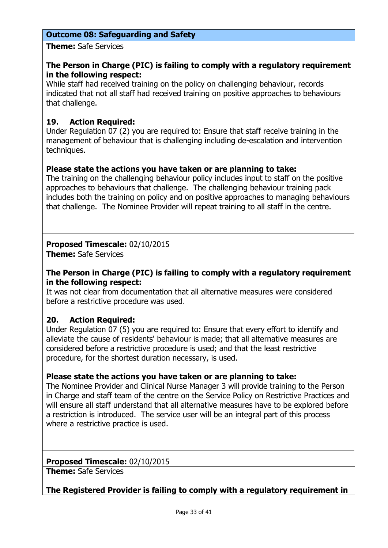### **Outcome 08: Safeguarding and Safety**

**Theme:** Safe Services

### **The Person in Charge (PIC) is failing to comply with a regulatory requirement in the following respect:**

While staff had received training on the policy on challenging behaviour, records indicated that not all staff had received training on positive approaches to behaviours that challenge.

# **19. Action Required:**

Under Regulation 07 (2) you are required to: Ensure that staff receive training in the management of behaviour that is challenging including de-escalation and intervention techniques.

### **Please state the actions you have taken or are planning to take:**

The training on the challenging behaviour policy includes input to staff on the positive approaches to behaviours that challenge. The challenging behaviour training pack includes both the training on policy and on positive approaches to managing behaviours that challenge. The Nominee Provider will repeat training to all staff in the centre.

### **Proposed Timescale:** 02/10/2015

**Theme:** Safe Services

### **The Person in Charge (PIC) is failing to comply with a regulatory requirement in the following respect:**

It was not clear from documentation that all alternative measures were considered before a restrictive procedure was used.

### **20. Action Required:**

Under Regulation 07 (5) you are required to: Ensure that every effort to identify and alleviate the cause of residents' behaviour is made; that all alternative measures are considered before a restrictive procedure is used; and that the least restrictive procedure, for the shortest duration necessary, is used.

### **Please state the actions you have taken or are planning to take:**

The Nominee Provider and Clinical Nurse Manager 3 will provide training to the Person in Charge and staff team of the centre on the Service Policy on Restrictive Practices and will ensure all staff understand that all alternative measures have to be explored before a restriction is introduced. The service user will be an integral part of this process where a restrictive practice is used.

### **Proposed Timescale:** 02/10/2015

**Theme:** Safe Services

**The Registered Provider is failing to comply with a regulatory requirement in**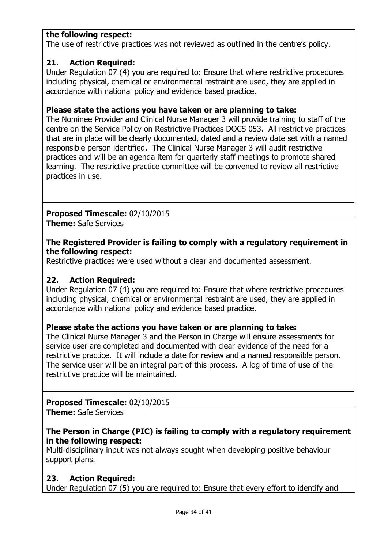### **the following respect:**

The use of restrictive practices was not reviewed as outlined in the centre's policy.

### **21. Action Required:**

Under Regulation 07 (4) you are required to: Ensure that where restrictive procedures including physical, chemical or environmental restraint are used, they are applied in accordance with national policy and evidence based practice.

### **Please state the actions you have taken or are planning to take:**

The Nominee Provider and Clinical Nurse Manager 3 will provide training to staff of the centre on the Service Policy on Restrictive Practices DOCS 053. All restrictive practices that are in place will be clearly documented, dated and a review date set with a named responsible person identified. The Clinical Nurse Manager 3 will audit restrictive practices and will be an agenda item for quarterly staff meetings to promote shared learning. The restrictive practice committee will be convened to review all restrictive practices in use.

### **Proposed Timescale:** 02/10/2015

**Theme:** Safe Services

### **The Registered Provider is failing to comply with a regulatory requirement in the following respect:**

Restrictive practices were used without a clear and documented assessment.

### **22. Action Required:**

Under Regulation 07 (4) you are required to: Ensure that where restrictive procedures including physical, chemical or environmental restraint are used, they are applied in accordance with national policy and evidence based practice.

### **Please state the actions you have taken or are planning to take:**

The Clinical Nurse Manager 3 and the Person in Charge will ensure assessments for service user are completed and documented with clear evidence of the need for a restrictive practice. It will include a date for review and a named responsible person. The service user will be an integral part of this process. A log of time of use of the restrictive practice will be maintained.

### **Proposed Timescale:** 02/10/2015

**Theme:** Safe Services

### **The Person in Charge (PIC) is failing to comply with a regulatory requirement in the following respect:**

Multi-disciplinary input was not always sought when developing positive behaviour support plans.

# **23. Action Required:**

Under Regulation 07 (5) you are required to: Ensure that every effort to identify and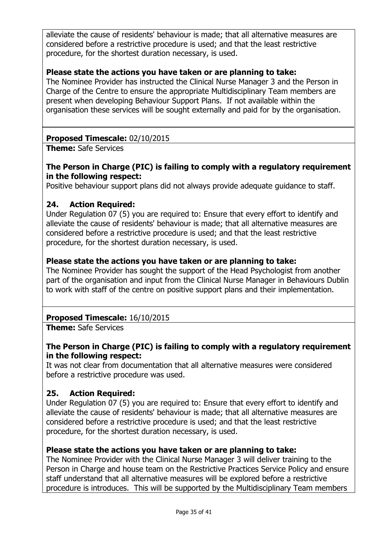alleviate the cause of residents' behaviour is made; that all alternative measures are considered before a restrictive procedure is used; and that the least restrictive procedure, for the shortest duration necessary, is used.

### **Please state the actions you have taken or are planning to take:**

The Nominee Provider has instructed the Clinical Nurse Manager 3 and the Person in Charge of the Centre to ensure the appropriate Multidisciplinary Team members are present when developing Behaviour Support Plans. If not available within the organisation these services will be sought externally and paid for by the organisation.

### **Proposed Timescale:** 02/10/2015

**Theme:** Safe Services

### **The Person in Charge (PIC) is failing to comply with a regulatory requirement in the following respect:**

Positive behaviour support plans did not always provide adequate guidance to staff.

### **24. Action Required:**

Under Regulation 07 (5) you are required to: Ensure that every effort to identify and alleviate the cause of residents' behaviour is made; that all alternative measures are considered before a restrictive procedure is used; and that the least restrictive procedure, for the shortest duration necessary, is used.

### **Please state the actions you have taken or are planning to take:**

The Nominee Provider has sought the support of the Head Psychologist from another part of the organisation and input from the Clinical Nurse Manager in Behaviours Dublin to work with staff of the centre on positive support plans and their implementation.

# **Proposed Timescale:** 16/10/2015

**Theme:** Safe Services

### **The Person in Charge (PIC) is failing to comply with a regulatory requirement in the following respect:**

It was not clear from documentation that all alternative measures were considered before a restrictive procedure was used.

# **25. Action Required:**

Under Regulation 07 (5) you are required to: Ensure that every effort to identify and alleviate the cause of residents' behaviour is made; that all alternative measures are considered before a restrictive procedure is used; and that the least restrictive procedure, for the shortest duration necessary, is used.

### **Please state the actions you have taken or are planning to take:**

The Nominee Provider with the Clinical Nurse Manager 3 will deliver training to the Person in Charge and house team on the Restrictive Practices Service Policy and ensure staff understand that all alternative measures will be explored before a restrictive procedure is introduces. This will be supported by the Multidisciplinary Team members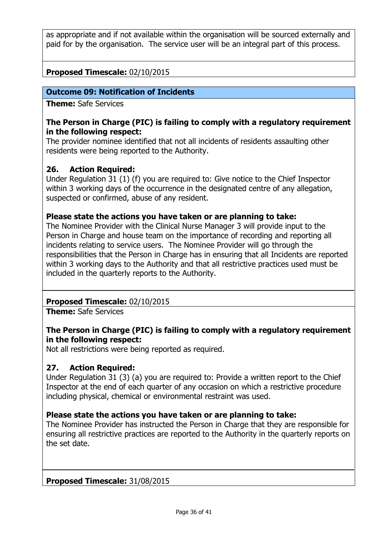as appropriate and if not available within the organisation will be sourced externally and paid for by the organisation. The service user will be an integral part of this process.

# **Proposed Timescale:** 02/10/2015

### **Outcome 09: Notification of Incidents**

**Theme:** Safe Services

#### **The Person in Charge (PIC) is failing to comply with a regulatory requirement in the following respect:**

The provider nominee identified that not all incidents of residents assaulting other residents were being reported to the Authority.

### **26. Action Required:**

Under Regulation 31 (1) (f) you are required to: Give notice to the Chief Inspector within 3 working days of the occurrence in the designated centre of any allegation, suspected or confirmed, abuse of any resident.

#### **Please state the actions you have taken or are planning to take:**

The Nominee Provider with the Clinical Nurse Manager 3 will provide input to the Person in Charge and house team on the importance of recording and reporting all incidents relating to service users. The Nominee Provider will go through the responsibilities that the Person in Charge has in ensuring that all Incidents are reported within 3 working days to the Authority and that all restrictive practices used must be included in the quarterly reports to the Authority.

### **Proposed Timescale:** 02/10/2015

**Theme:** Safe Services

### **The Person in Charge (PIC) is failing to comply with a regulatory requirement in the following respect:**

Not all restrictions were being reported as required.

### **27. Action Required:**

Under Regulation 31 (3) (a) you are required to: Provide a written report to the Chief Inspector at the end of each quarter of any occasion on which a restrictive procedure including physical, chemical or environmental restraint was used.

### **Please state the actions you have taken or are planning to take:**

The Nominee Provider has instructed the Person in Charge that they are responsible for ensuring all restrictive practices are reported to the Authority in the quarterly reports on the set date.

#### **Proposed Timescale:** 31/08/2015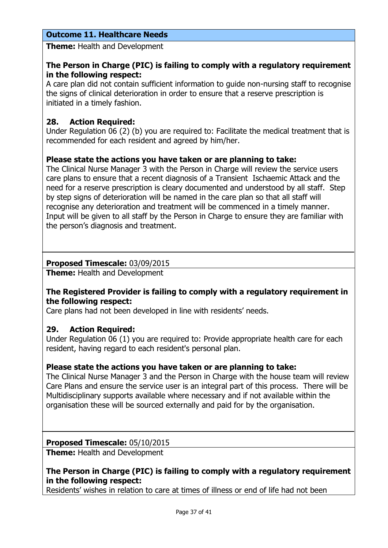# **Outcome 11. Healthcare Needs**

**Theme:** Health and Development

### **The Person in Charge (PIC) is failing to comply with a regulatory requirement in the following respect:**

A care plan did not contain sufficient information to guide non-nursing staff to recognise the signs of clinical deterioration in order to ensure that a reserve prescription is initiated in a timely fashion.

# **28. Action Required:**

Under Regulation 06 (2) (b) you are required to: Facilitate the medical treatment that is recommended for each resident and agreed by him/her.

### **Please state the actions you have taken or are planning to take:**

The Clinical Nurse Manager 3 with the Person in Charge will review the service users care plans to ensure that a recent diagnosis of a Transient Ischaemic Attack and the need for a reserve prescription is cleary documented and understood by all staff. Step by step signs of deterioration will be named in the care plan so that all staff will recognise any deterioration and treatment will be commenced in a timely manner. Input will be given to all staff by the Person in Charge to ensure they are familiar with the person's diagnosis and treatment.

### **Proposed Timescale:** 03/09/2015

**Theme:** Health and Development

### **The Registered Provider is failing to comply with a regulatory requirement in the following respect:**

Care plans had not been developed in line with residents' needs.

### **29. Action Required:**

Under Regulation 06 (1) you are required to: Provide appropriate health care for each resident, having regard to each resident's personal plan.

### **Please state the actions you have taken or are planning to take:**

The Clinical Nurse Manager 3 and the Person in Charge with the house team will review Care Plans and ensure the service user is an integral part of this process. There will be Multidisciplinary supports available where necessary and if not available within the organisation these will be sourced externally and paid for by the organisation.

### **Proposed Timescale:** 05/10/2015

**Theme:** Health and Development

### **The Person in Charge (PIC) is failing to comply with a regulatory requirement in the following respect:**

Residents' wishes in relation to care at times of illness or end of life had not been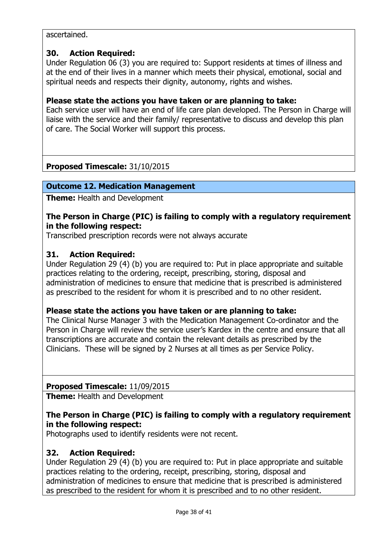ascertained.

### **30. Action Required:**

Under Regulation 06 (3) you are required to: Support residents at times of illness and at the end of their lives in a manner which meets their physical, emotional, social and spiritual needs and respects their dignity, autonomy, rights and wishes.

### **Please state the actions you have taken or are planning to take:**

Each service user will have an end of life care plan developed. The Person in Charge will liaise with the service and their family/ representative to discuss and develop this plan of care. The Social Worker will support this process.

# **Proposed Timescale:** 31/10/2015

### **Outcome 12. Medication Management**

**Theme:** Health and Development

### **The Person in Charge (PIC) is failing to comply with a regulatory requirement in the following respect:**

Transcribed prescription records were not always accurate

### **31. Action Required:**

Under Regulation 29 (4) (b) you are required to: Put in place appropriate and suitable practices relating to the ordering, receipt, prescribing, storing, disposal and administration of medicines to ensure that medicine that is prescribed is administered as prescribed to the resident for whom it is prescribed and to no other resident.

### **Please state the actions you have taken or are planning to take:**

The Clinical Nurse Manager 3 with the Medication Management Co-ordinator and the Person in Charge will review the service user's Kardex in the centre and ensure that all transcriptions are accurate and contain the relevant details as prescribed by the Clinicians. These will be signed by 2 Nurses at all times as per Service Policy.

# **Proposed Timescale:** 11/09/2015

**Theme:** Health and Development

### **The Person in Charge (PIC) is failing to comply with a regulatory requirement in the following respect:**

Photographs used to identify residents were not recent.

### **32. Action Required:**

Under Regulation 29 (4) (b) you are required to: Put in place appropriate and suitable practices relating to the ordering, receipt, prescribing, storing, disposal and administration of medicines to ensure that medicine that is prescribed is administered as prescribed to the resident for whom it is prescribed and to no other resident.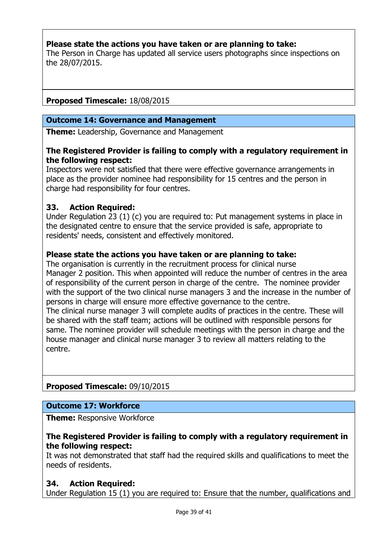### **Please state the actions you have taken or are planning to take:**

The Person in Charge has updated all service users photographs since inspections on the 28/07/2015.

### **Proposed Timescale:** 18/08/2015

#### **Outcome 14: Governance and Management**

**Theme:** Leadership, Governance and Management

#### **The Registered Provider is failing to comply with a regulatory requirement in the following respect:**

Inspectors were not satisfied that there were effective governance arrangements in place as the provider nominee had responsibility for 15 centres and the person in charge had responsibility for four centres.

#### **33. Action Required:**

Under Regulation 23 (1) (c) you are required to: Put management systems in place in the designated centre to ensure that the service provided is safe, appropriate to residents' needs, consistent and effectively monitored.

### **Please state the actions you have taken or are planning to take:**

The organisation is currently in the recruitment process for clinical nurse Manager 2 position. This when appointed will reduce the number of centres in the area of responsibility of the current person in charge of the centre. The nominee provider with the support of the two clinical nurse managers 3 and the increase in the number of persons in charge will ensure more effective governance to the centre. The clinical nurse manager 3 will complete audits of practices in the centre. These will be shared with the staff team; actions will be outlined with responsible persons for same. The nominee provider will schedule meetings with the person in charge and the house manager and clinical nurse manager 3 to review all matters relating to the

centre.

# **Proposed Timescale:** 09/10/2015

#### **Outcome 17: Workforce**

**Theme: Responsive Workforce** 

#### **The Registered Provider is failing to comply with a regulatory requirement in the following respect:**

It was not demonstrated that staff had the required skills and qualifications to meet the needs of residents.

#### **34. Action Required:**

Under Regulation 15 (1) you are required to: Ensure that the number, qualifications and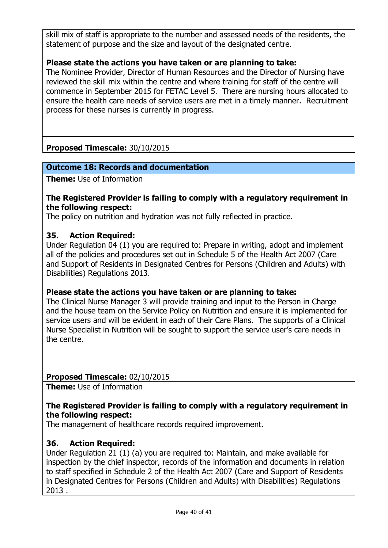skill mix of staff is appropriate to the number and assessed needs of the residents, the statement of purpose and the size and layout of the designated centre.

### **Please state the actions you have taken or are planning to take:**

The Nominee Provider, Director of Human Resources and the Director of Nursing have reviewed the skill mix within the centre and where training for staff of the centre will commence in September 2015 for FETAC Level 5. There are nursing hours allocated to ensure the health care needs of service users are met in a timely manner. Recruitment process for these nurses is currently in progress.

# **Proposed Timescale:** 30/10/2015

### **Outcome 18: Records and documentation**

**Theme:** Use of Information

#### **The Registered Provider is failing to comply with a regulatory requirement in the following respect:**

The policy on nutrition and hydration was not fully reflected in practice.

### **35. Action Required:**

Under Regulation 04 (1) you are required to: Prepare in writing, adopt and implement all of the policies and procedures set out in Schedule 5 of the Health Act 2007 (Care and Support of Residents in Designated Centres for Persons (Children and Adults) with Disabilities) Regulations 2013.

### **Please state the actions you have taken or are planning to take:**

The Clinical Nurse Manager 3 will provide training and input to the Person in Charge and the house team on the Service Policy on Nutrition and ensure it is implemented for service users and will be evident in each of their Care Plans. The supports of a Clinical Nurse Specialist in Nutrition will be sought to support the service user's care needs in the centre.

### **Proposed Timescale:** 02/10/2015

**Theme:** Use of Information

### **The Registered Provider is failing to comply with a regulatory requirement in the following respect:**

The management of healthcare records required improvement.

### **36. Action Required:**

Under Regulation 21 (1) (a) you are required to: Maintain, and make available for inspection by the chief inspector, records of the information and documents in relation to staff specified in Schedule 2 of the Health Act 2007 (Care and Support of Residents in Designated Centres for Persons (Children and Adults) with Disabilities) Regulations 2013 .